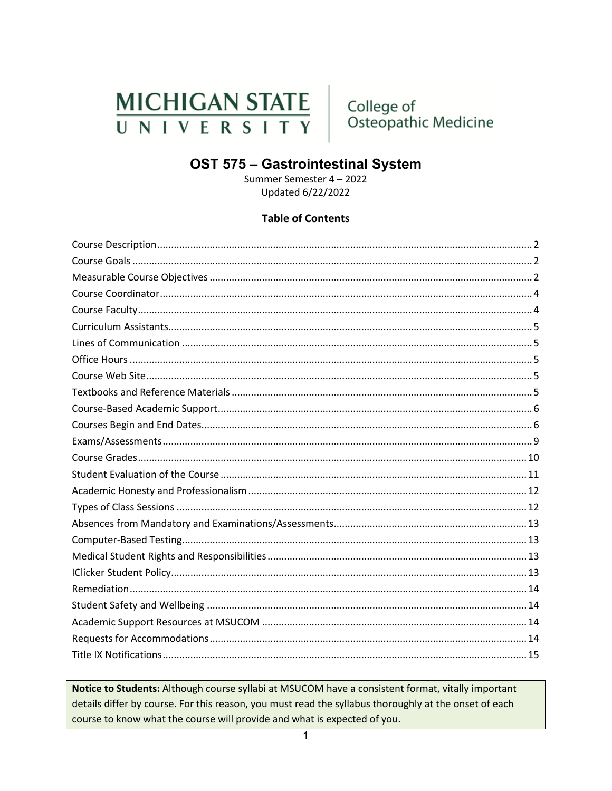# **MICHIGAN STATE** UNIVERSITY

College of Osteopathic Medicine

# OST 575 - Gastrointestinal System

Summer Semester 4 - 2022 Updated 6/22/2022

### **Table of Contents**

Notice to Students: Although course syllabi at MSUCOM have a consistent format, vitally important details differ by course. For this reason, you must read the syllabus thoroughly at the onset of each course to know what the course will provide and what is expected of you.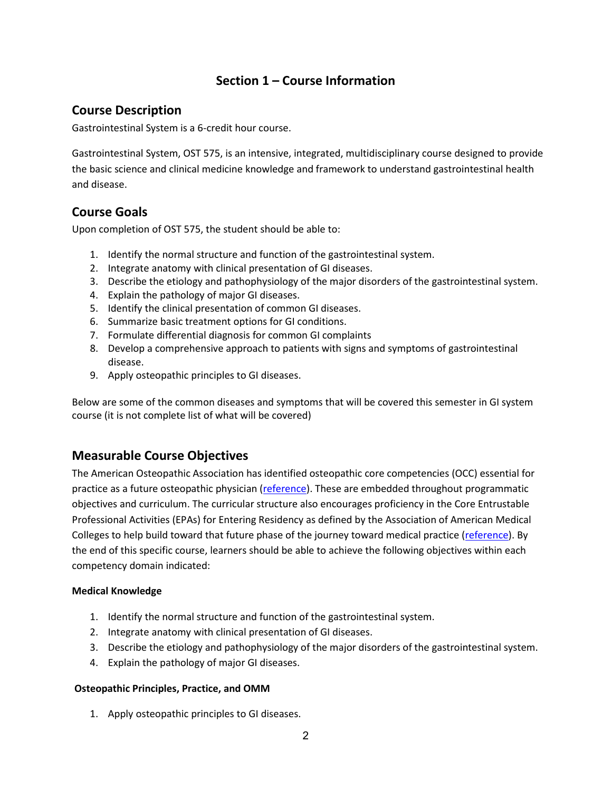# **Section 1 – Course Information**

# <span id="page-1-0"></span>**Course Description**

Gastrointestinal System is a 6-credit hour course.

Gastrointestinal System, OST 575, is an intensive, integrated, multidisciplinary course designed to provide the basic science and clinical medicine knowledge and framework to understand gastrointestinal health and disease.

# <span id="page-1-1"></span>**Course Goals**

Upon completion of OST 575, the student should be able to:

- 1. Identify the normal structure and function of the gastrointestinal system.
- 2. Integrate anatomy with clinical presentation of GI diseases.
- 3. Describe the etiology and pathophysiology of the major disorders of the gastrointestinal system.
- 4. Explain the pathology of major GI diseases.
- 5. Identify the clinical presentation of common GI diseases.
- 6. Summarize basic treatment options for GI conditions.
- 7. Formulate differential diagnosis for common GI complaints
- 8. Develop a comprehensive approach to patients with signs and symptoms of gastrointestinal disease.
- 9. Apply osteopathic principles to GI diseases.

Below are some of the common diseases and symptoms that will be covered this semester in GI system course (it is not complete list of what will be covered)

# <span id="page-1-2"></span>**Measurable Course Objectives**

The American Osteopathic Association has identified osteopathic core competencies (OCC) essential for practice as a future osteopathic physician [\(reference\)](https://www.aacom.org/docs/default-source/core-competencies/corecompetencyreport2012.pdf?sfvrsn=4). These are embedded throughout programmatic objectives and curriculum. The curricular structure also encourages proficiency in the Core Entrustable Professional Activities (EPAs) for Entering Residency as defined by the Association of American Medical Colleges to help build toward that future phase of the journey toward medical practice [\(reference\)](https://store.aamc.org/downloadable/download/sample/sample_id/66/). By the end of this specific course, learners should be able to achieve the following objectives within each competency domain indicated:

### **Medical Knowledge**

- 1. Identify the normal structure and function of the gastrointestinal system.
- 2. Integrate anatomy with clinical presentation of GI diseases.
- 3. Describe the etiology and pathophysiology of the major disorders of the gastrointestinal system.
- 4. Explain the pathology of major GI diseases.

### **Osteopathic Principles, Practice, and OMM**

1. Apply osteopathic principles to GI diseases.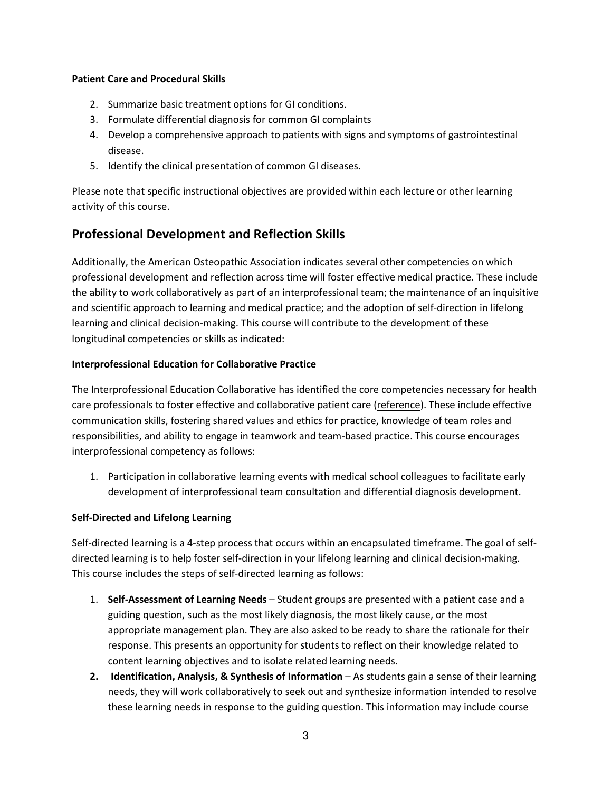### **Patient Care and Procedural Skills**

- 2. Summarize basic treatment options for GI conditions.
- 3. Formulate differential diagnosis for common GI complaints
- 4. Develop a comprehensive approach to patients with signs and symptoms of gastrointestinal disease.
- 5. Identify the clinical presentation of common GI diseases.

Please note that specific instructional objectives are provided within each lecture or other learning activity of this course.

# **Professional Development and Reflection Skills**

Additionally, the American Osteopathic Association indicates several other competencies on which professional development and reflection across time will foster effective medical practice. These include the ability to work collaboratively as part of an interprofessional team; the maintenance of an inquisitive and scientific approach to learning and medical practice; and the adoption of self-direction in lifelong learning and clinical decision-making. This course will contribute to the development of these longitudinal competencies or skills as indicated:

### **Interprofessional Education for Collaborative Practice**

The Interprofessional Education Collaborative has identified the core competencies necessary for health care professionals to foster effective and collaborative patient care [\(reference\)](https://nebula.wsimg.com/2f68a39520b03336b41038c370497473?AccessKeyId=DC06780E69ED19E2B3A5&disposition=0&alloworigin=1). These include effective communication skills, fostering shared values and ethics for practice, knowledge of team roles and responsibilities, and ability to engage in teamwork and team-based practice. This course encourages interprofessional competency as follows:

1. Participation in collaborative learning events with medical school colleagues to facilitate early development of interprofessional team consultation and differential diagnosis development.

### **Self-Directed and Lifelong Learning**

Self-directed learning is a 4-step process that occurs within an encapsulated timeframe. The goal of selfdirected learning is to help foster self-direction in your lifelong learning and clinical decision-making. This course includes the steps of self-directed learning as follows:

- 1. **Self-Assessment of Learning Needs**  Student groups are presented with a patient case and a guiding question, such as the most likely diagnosis, the most likely cause, or the most appropriate management plan. They are also asked to be ready to share the rationale for their response. This presents an opportunity for students to reflect on their knowledge related to content learning objectives and to isolate related learning needs.
- **2. Identification, Analysis, & Synthesis of Information** As students gain a sense of their learning needs, they will work collaboratively to seek out and synthesize information intended to resolve these learning needs in response to the guiding question. This information may include course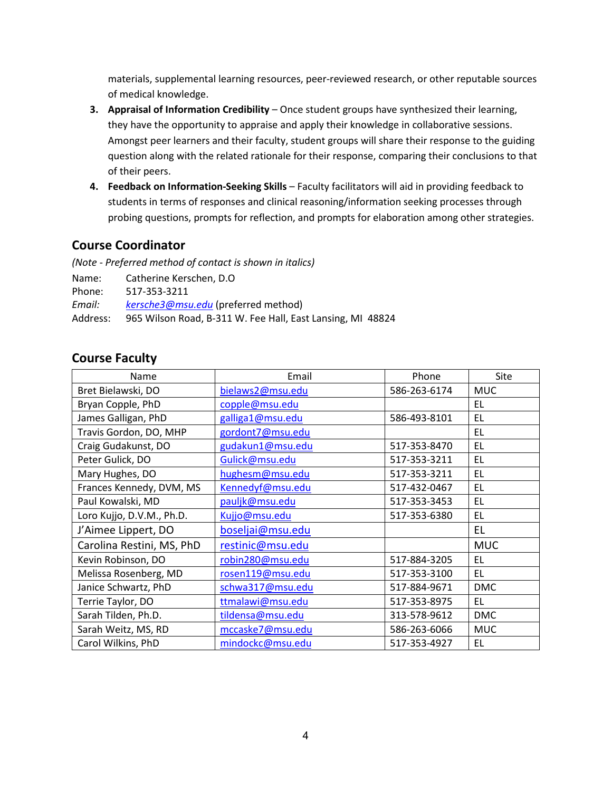materials, supplemental learning resources, peer-reviewed research, or other reputable sources of medical knowledge.

- **3. Appraisal of Information Credibility** Once student groups have synthesized their learning, they have the opportunity to appraise and apply their knowledge in collaborative sessions. Amongst peer learners and their faculty, student groups will share their response to the guiding question along with the related rationale for their response, comparing their conclusions to that of their peers.
- **4. Feedback on Information-Seeking Skills**  Faculty facilitators will aid in providing feedback to students in terms of responses and clinical reasoning/information seeking processes through probing questions, prompts for reflection, and prompts for elaboration among other strategies.

### <span id="page-3-0"></span>**Course Coordinator**

*(Note - Preferred method of contact is shown in italics)*

| Name:    | Catherine Kerschen. D.O.                                   |
|----------|------------------------------------------------------------|
| Phone:   | 517-353-3211                                               |
| Email:   | kersche3@msu.edu (preferred method)                        |
| Address: | 965 Wilson Road, B-311 W. Fee Hall, East Lansing, MI 48824 |

### <span id="page-3-1"></span>**Course Faculty**

| Name                      | Email            | Phone        | Site       |
|---------------------------|------------------|--------------|------------|
| Bret Bielawski, DO        | bielaws2@msu.edu | 586-263-6174 | <b>MUC</b> |
| Bryan Copple, PhD         | copple@msu.edu   |              | EL         |
| James Galligan, PhD       | galliga1@msu.edu | 586-493-8101 | EL         |
| Travis Gordon, DO, MHP    | gordont7@msu.edu |              | <b>EL</b>  |
| Craig Gudakunst, DO       | gudakun1@msu.edu | 517-353-8470 | EL         |
| Peter Gulick, DO          | Gulick@msu.edu   | 517-353-3211 | EL         |
| Mary Hughes, DO           | hughesm@msu.edu  | 517-353-3211 | <b>EL</b>  |
| Frances Kennedy, DVM, MS  | Kennedyf@msu.edu | 517-432-0467 | EL         |
| Paul Kowalski, MD         | pauljk@msu.edu   | 517-353-3453 | EL         |
| Loro Kujjo, D.V.M., Ph.D. | Kujjo@msu.edu    | 517-353-6380 | EL         |
| J'Aimee Lippert, DO       | boseljai@msu.edu |              | <b>EL</b>  |
| Carolina Restini, MS, PhD | restinic@msu.edu |              | <b>MUC</b> |
| Kevin Robinson, DO        | robin280@msu.edu | 517-884-3205 | EL.        |
| Melissa Rosenberg, MD     | rosen119@msu.edu | 517-353-3100 | <b>EL</b>  |
| Janice Schwartz, PhD      | schwa317@msu.edu | 517-884-9671 | <b>DMC</b> |
| Terrie Taylor, DO         | ttmalawi@msu.edu | 517-353-8975 | EL.        |
| Sarah Tilden, Ph.D.       | tildensa@msu.edu | 313-578-9612 | <b>DMC</b> |
| Sarah Weitz, MS, RD       | mccaske7@msu.edu | 586-263-6066 | <b>MUC</b> |
| Carol Wilkins, PhD        | mindockc@msu.edu | 517-353-4927 | EL.        |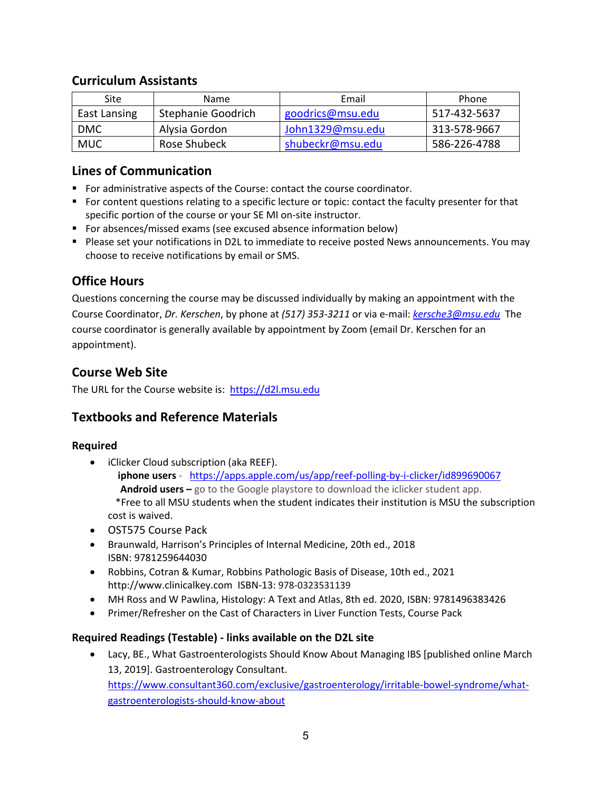# <span id="page-4-0"></span>**Curriculum Assistants**

| Site         | Name               | Email            | Phone        |
|--------------|--------------------|------------------|--------------|
| East Lansing | Stephanie Goodrich | goodrics@msu.edu | 517-432-5637 |
| <b>DMC</b>   | Alysia Gordon      | John1329@msu.edu | 313-578-9667 |
| <b>MUC</b>   | Rose Shubeck       | shubeckr@msu.edu | 586-226-4788 |

# <span id="page-4-1"></span>**Lines of Communication**

- For administrative aspects of the Course: contact the course coordinator.
- For content questions relating to a specific lecture or topic: contact the faculty presenter for that specific portion of the course or your SE MI on-site instructor.
- For absences/missed exams (see excused absence information below)
- **Please set your notifications in D2L to immediate to receive posted News announcements. You may** choose to receive notifications by email or SMS.

# <span id="page-4-2"></span>**Office Hours**

Questions concerning the course may be discussed individually by making an appointment with the Course Coordinator, *Dr. Kerschen*, by phone at *(517) 353-3211* or via e-mail: *[kersche3@msu.edu](mailto:kersche3@msu.edu)* The course coordinator is generally available by appointment by Zoom (email Dr. Kerschen for an appointment).

# <span id="page-4-3"></span>**Course Web Site**

The URL for the Course website is: [https://d2l.msu.edu](https://d2l.msu.edu/)

# <span id="page-4-4"></span>**Textbooks and Reference Materials**

### **Required**

- iClicker Cloud subscription (aka REEF).
	- **iphone users** <https://apps.apple.com/us/app/reef-polling-by-i-clicker/id899690067>  **Android users –** go to the Google playstore to download the iclicker student app. \*Free to all MSU students when the student indicates their institution is MSU the subscription cost is waived.
- OST575 Course Pack
- Braunwald, Harrison's Principles of Internal Medicine, 20th ed., 2018 ISBN: 9781259644030
- Robbins, Cotran & Kumar, Robbins Pathologic Basis of Disease, 10th ed., 2021 http://www.clinicalkey.com ISBN-13: 978-0323531139
- MH Ross and W Pawlina, Histology: A Text and Atlas, 8th ed. 2020, ISBN: 9781496383426
- Primer/Refresher on the Cast of Characters in Liver Function Tests, Course Pack

### **Required Readings (Testable) - links available on the D2L site**

• Lacy, BE., What Gastroenterologists Should Know About Managing IBS [published online March 13, 2019]. Gastroenterology Consultant. [https://www.consultant360.com/exclusive/gastroenterology/irritable-bowel-syndrome/what](https://www.consultant360.com/exclusive/gastroenterology/irritable-bowel-syndrome/what-gastroenterologists-should-know-about)[gastroenterologists-should-know-about](https://www.consultant360.com/exclusive/gastroenterology/irritable-bowel-syndrome/what-gastroenterologists-should-know-about)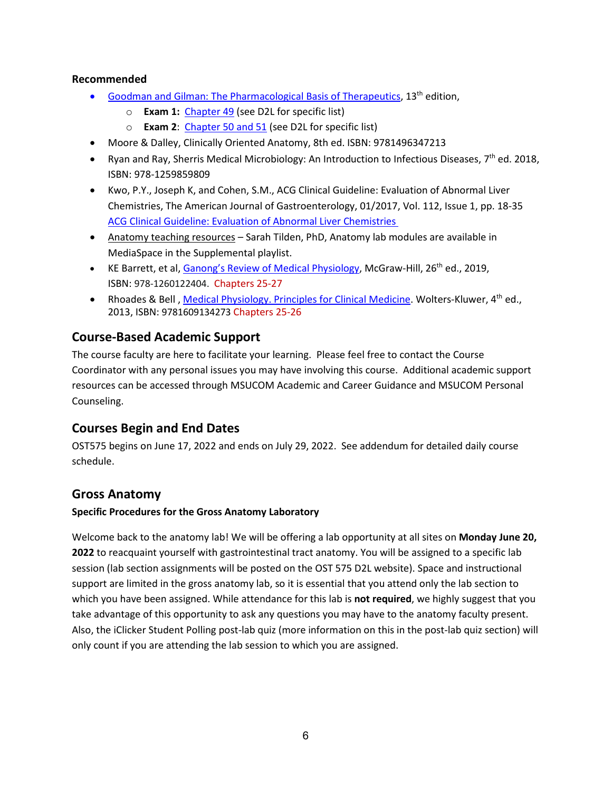### **Recommended**

- [Goodman and Gilman: The Pharmacological Basis of Therapeutics,](http://ezproxy.msu.edu/login?url=https://accessmedicine.mhmedical.com/book.aspx?bookid=2189)  $13<sup>th</sup>$  edition,
	- o **Exam 1:** [Chapter 49](https://ezproxy.msu.edu/login?url=https://accessmedicine.mhmedical.com/content.aspx?bookid=2189§ionid=172483385) (see D2L for specific list)
	- o **Exam 2**: [Chapter 50 and 51](https://ezproxy.msu.edu/login?url=https://accessmedicine.mhmedical.com/content.aspx?bookid=2189§ionid=172483876) (see D2L for specific list)
- Moore & Dalley, Clinically Oriented Anatomy, 8th ed. ISBN: 9781496347213
- Ryan and Ray, Sherris Medical Microbiology: An Introduction to Infectious Diseases, 7<sup>th</sup> ed. 2018, ISBN: 978-1259859809
- Kwo, P.Y., Joseph K, and Cohen, S.M., ACG Clinical Guideline: Evaluation of Abnormal Liver Chemistries, The American Journal of Gastroenterology, 01/2017, Vol. 112, Issue 1, pp. 18-35 [ACG Clinical Guideline: Evaluation of Abnormal Liver Chemistries](https://ezproxy.msu.edu/login?url=https://ovidsp.ovid.com/ovidweb.cgi?T=JS&CSC=Y&NEWS=N&PAGE=fulltext&D=ovft&AN=00000434-201701000-00013&PDF=y)
- Anatomy teaching resources Sarah Tilden, PhD, Anatomy lab modules are available in MediaSpace in the Supplemental playlist.
- KE Barrett, et al, [Ganong's Review of Medical Physiology,](http://ezproxy.msu.edu/login?url=https://accessmedicine.mhmedical.com/book.aspx?bookid=2525) McGraw-Hill, 26<sup>th</sup> ed., 2019, ISBN: 978-1260122404. Chapters 25-27
- Rhoades & Bell, [Medical Physiology. Principles for Clinical Medicine.](http://ezproxy.msu.edu/login?url=https://meded.lwwhealthlibrary.com/book.aspx?bookid=794) Wolters-Kluwer, 4<sup>th</sup> ed., 2013, ISBN: 9781609134273 Chapters 25-26

# <span id="page-5-0"></span>**Course-Based Academic Support**

The course faculty are here to facilitate your learning. Please feel free to contact the Course Coordinator with any personal issues you may have involving this course. Additional academic support resources can be accessed through MSUCOM Academic and Career Guidance and MSUCOM Personal Counseling.

# <span id="page-5-1"></span>**Courses Begin and End Dates**

OST575 begins on June 17, 2022 and ends on July 29, 2022. See addendum for detailed daily course schedule.

### **Gross Anatomy**

### **Specific Procedures for the Gross Anatomy Laboratory**

Welcome back to the anatomy lab! We will be offering a lab opportunity at all sites on **Monday June 20, 2022** to reacquaint yourself with gastrointestinal tract anatomy. You will be assigned to a specific lab session (lab section assignments will be posted on the OST 575 D2L website). Space and instructional support are limited in the gross anatomy lab, so it is essential that you attend only the lab section to which you have been assigned. While attendance for this lab is **not required**, we highly suggest that you take advantage of this opportunity to ask any questions you may have to the anatomy faculty present. Also, the iClicker Student Polling post-lab quiz (more information on this in the post-lab quiz section) will only count if you are attending the lab session to which you are assigned.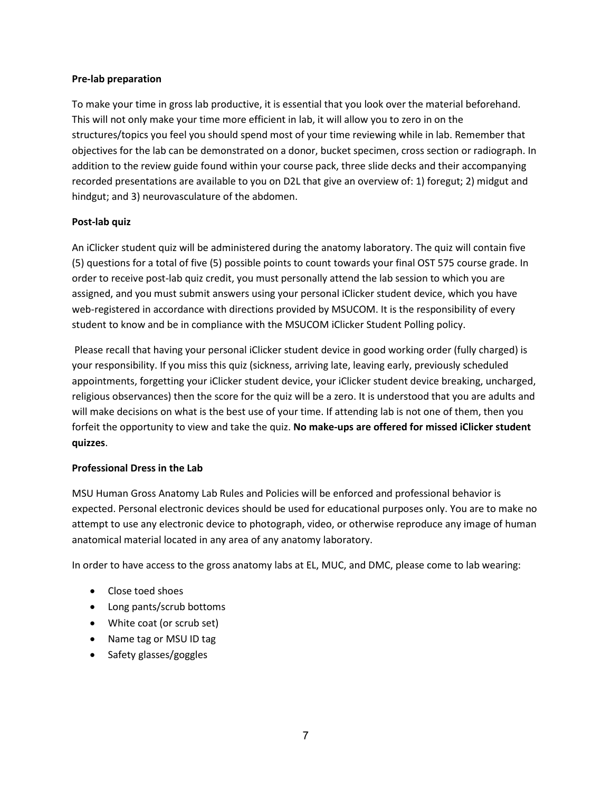### **Pre-lab preparation**

To make your time in gross lab productive, it is essential that you look over the material beforehand. This will not only make your time more efficient in lab, it will allow you to zero in on the structures/topics you feel you should spend most of your time reviewing while in lab. Remember that objectives for the lab can be demonstrated on a donor, bucket specimen, cross section or radiograph. In addition to the review guide found within your course pack, three slide decks and their accompanying recorded presentations are available to you on D2L that give an overview of: 1) foregut; 2) midgut and hindgut; and 3) neurovasculature of the abdomen.

### **Post-lab quiz**

An iClicker student quiz will be administered during the anatomy laboratory. The quiz will contain five (5) questions for a total of five (5) possible points to count towards your final OST 575 course grade. In order to receive post-lab quiz credit, you must personally attend the lab session to which you are assigned, and you must submit answers using your personal iClicker student device, which you have web-registered in accordance with directions provided by MSUCOM. It is the responsibility of every student to know and be in compliance with the MSUCOM iClicker Student Polling policy.

Please recall that having your personal iClicker student device in good working order (fully charged) is your responsibility. If you miss this quiz (sickness, arriving late, leaving early, previously scheduled appointments, forgetting your iClicker student device, your iClicker student device breaking, uncharged, religious observances) then the score for the quiz will be a zero. It is understood that you are adults and will make decisions on what is the best use of your time. If attending lab is not one of them, then you forfeit the opportunity to view and take the quiz. **No make-ups are offered for missed iClicker student quizzes**.

#### **Professional Dress in the Lab**

MSU Human Gross Anatomy Lab Rules and Policies will be enforced and professional behavior is expected. Personal electronic devices should be used for educational purposes only. You are to make no attempt to use any electronic device to photograph, video, or otherwise reproduce any image of human anatomical material located in any area of any anatomy laboratory.

In order to have access to the gross anatomy labs at EL, MUC, and DMC, please come to lab wearing:

- Close toed shoes
- Long pants/scrub bottoms
- White coat (or scrub set)
- Name tag or MSU ID tag
- Safety glasses/goggles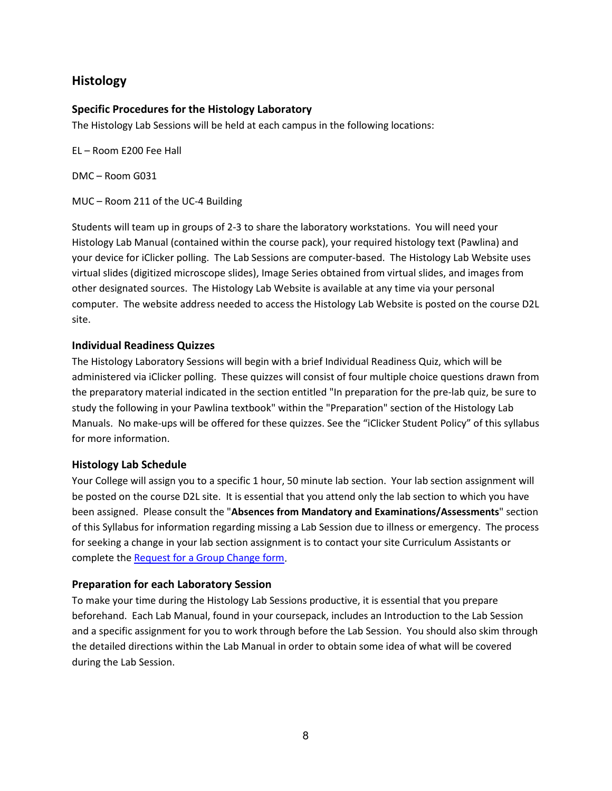# **Histology**

### **Specific Procedures for the Histology Laboratory**

The Histology Lab Sessions will be held at each campus in the following locations:

EL – Room E200 Fee Hall

DMC – Room G031

MUC – Room 211 of the UC-4 Building

Students will team up in groups of 2-3 to share the laboratory workstations. You will need your Histology Lab Manual (contained within the course pack), your required histology text (Pawlina) and your device for iClicker polling. The Lab Sessions are computer-based. The Histology Lab Website uses virtual slides (digitized microscope slides), Image Series obtained from virtual slides, and images from other designated sources. The Histology Lab Website is available at any time via your personal computer. The website address needed to access the Histology Lab Website is posted on the course D2L site.

### **Individual Readiness Quizzes**

The Histology Laboratory Sessions will begin with a brief Individual Readiness Quiz, which will be administered via iClicker polling. These quizzes will consist of four multiple choice questions drawn from the preparatory material indicated in the section entitled "In preparation for the pre-lab quiz, be sure to study the following in your Pawlina textbook" within the "Preparation" section of the Histology Lab Manuals. No make-ups will be offered for these quizzes. See the "iClicker Student Policy" of this syllabus for more information.

### **Histology Lab Schedule**

Your College will assign you to a specific 1 hour, 50 minute lab section. Your lab section assignment will be posted on the course D2L site. It is essential that you attend only the lab section to which you have been assigned. Please consult the "**Absences from Mandatory and Examinations/Assessments**" section of this Syllabus for information regarding missing a Lab Session due to illness or emergency. The process for seeking a change in your lab section assignment is to contact your site Curriculum Assistants or complete the [Request for a Group Change form.](https://com.msu.edu/application/files/4615/6045/1078/east-lansing_group-change-request-form.pdf)

### **Preparation for each Laboratory Session**

To make your time during the Histology Lab Sessions productive, it is essential that you prepare beforehand. Each Lab Manual, found in your coursepack, includes an Introduction to the Lab Session and a specific assignment for you to work through before the Lab Session. You should also skim through the detailed directions within the Lab Manual in order to obtain some idea of what will be covered during the Lab Session.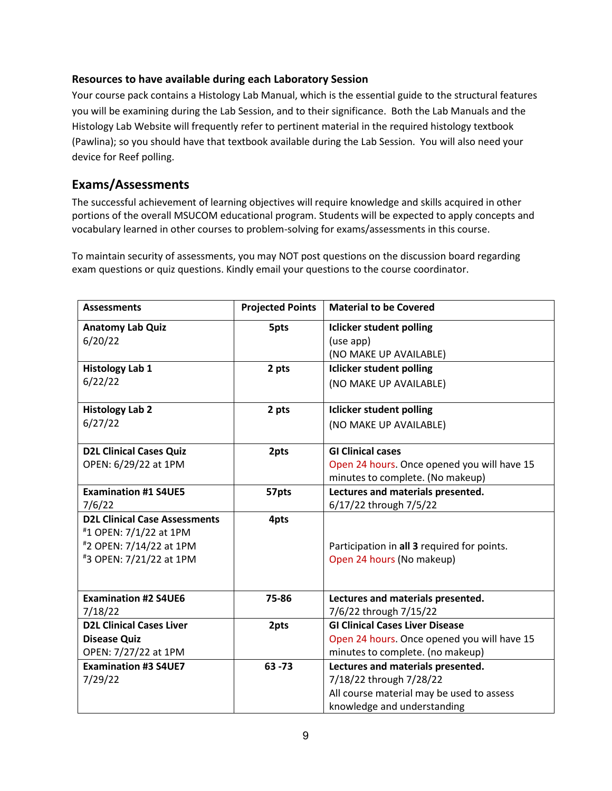### **Resources to have available during each Laboratory Session**

Your course pack contains a Histology Lab Manual, which is the essential guide to the structural features you will be examining during the Lab Session, and to their significance. Both the Lab Manuals and the Histology Lab Website will frequently refer to pertinent material in the required histology textbook (Pawlina); so you should have that textbook available during the Lab Session. You will also need your device for Reef polling.

# <span id="page-8-0"></span>**Exams/Assessments**

The successful achievement of learning objectives will require knowledge and skills acquired in other portions of the overall MSUCOM educational program. Students will be expected to apply concepts and vocabulary learned in other courses to problem-solving for exams/assessments in this course.

To maintain security of assessments, you may NOT post questions on the discussion board regarding exam questions or quiz questions. Kindly email your questions to the course coordinator.

| <b>Assessments</b>                   | <b>Projected Points</b> | <b>Material to be Covered</b>               |
|--------------------------------------|-------------------------|---------------------------------------------|
| <b>Anatomy Lab Quiz</b>              | 5pts                    | <b>Iclicker student polling</b>             |
| 6/20/22                              |                         | (use app)                                   |
|                                      |                         | (NO MAKE UP AVAILABLE)                      |
| <b>Histology Lab 1</b>               | 2 pts                   | <b>Iclicker student polling</b>             |
| 6/22/22                              |                         | (NO MAKE UP AVAILABLE)                      |
|                                      |                         |                                             |
| <b>Histology Lab 2</b>               | 2 pts                   | <b>Iclicker student polling</b>             |
| 6/27/22                              |                         | (NO MAKE UP AVAILABLE)                      |
|                                      |                         |                                             |
| <b>D2L Clinical Cases Quiz</b>       | 2pts                    | <b>GI Clinical cases</b>                    |
| OPEN: 6/29/22 at 1PM                 |                         | Open 24 hours. Once opened you will have 15 |
|                                      |                         | minutes to complete. (No makeup)            |
| <b>Examination #1 S4UE5</b>          | 57pts                   | Lectures and materials presented.           |
| 7/6/22                               |                         | 6/17/22 through 7/5/22                      |
| <b>D2L Clinical Case Assessments</b> | 4pts                    |                                             |
| #1 OPEN: 7/1/22 at 1PM               |                         |                                             |
| #2 OPEN: 7/14/22 at 1PM              |                         | Participation in all 3 required for points. |
| #3 OPEN: 7/21/22 at 1PM              |                         | Open 24 hours (No makeup)                   |
|                                      |                         |                                             |
| <b>Examination #2 S4UE6</b>          | 75-86                   | Lectures and materials presented.           |
| 7/18/22                              |                         | 7/6/22 through 7/15/22                      |
| <b>D2L Clinical Cases Liver</b>      | 2pts                    | <b>GI Clinical Cases Liver Disease</b>      |
| <b>Disease Quiz</b>                  |                         | Open 24 hours. Once opened you will have 15 |
| OPEN: 7/27/22 at 1PM                 |                         | minutes to complete. (no makeup)            |
| <b>Examination #3 S4UE7</b>          | $63 - 73$               | Lectures and materials presented.           |
| 7/29/22                              |                         | 7/18/22 through 7/28/22                     |
|                                      |                         | All course material may be used to assess   |
|                                      |                         | knowledge and understanding                 |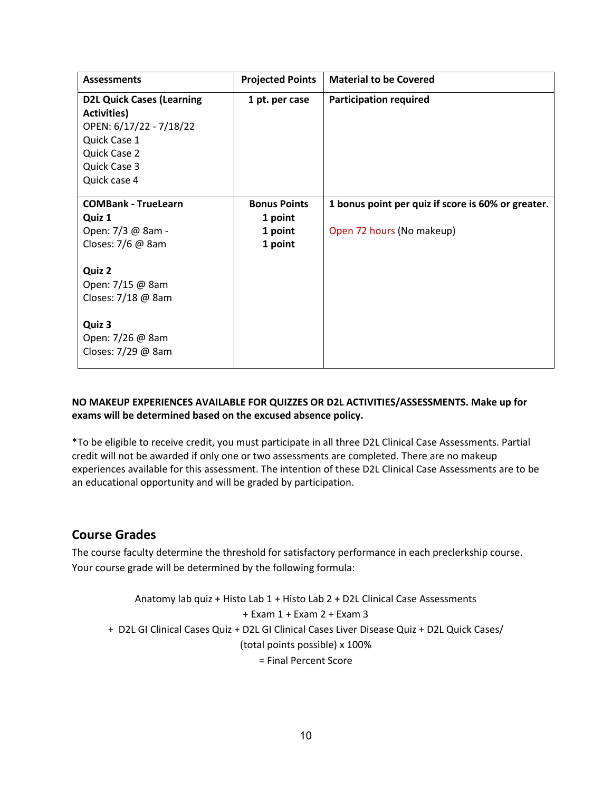| <b>Assessments</b>               | <b>Projected Points</b> | <b>Material to be Covered</b>                      |
|----------------------------------|-------------------------|----------------------------------------------------|
| <b>D2L Quick Cases (Learning</b> | 1 pt. per case          | <b>Participation required</b>                      |
| <b>Activities)</b>               |                         |                                                    |
| OPEN: 6/17/22 - 7/18/22          |                         |                                                    |
| Quick Case 1                     |                         |                                                    |
| Quick Case 2                     |                         |                                                    |
| Quick Case 3                     |                         |                                                    |
| Quick case 4                     |                         |                                                    |
|                                  |                         |                                                    |
| <b>COMBank - TrueLearn</b>       | <b>Bonus Points</b>     | 1 bonus point per quiz if score is 60% or greater. |
| Quiz 1                           | 1 point                 |                                                    |
| Open: 7/3 @ 8am -                | 1 point                 | Open 72 hours (No makeup)                          |
| Closes: 7/6 @ 8am                | 1 point                 |                                                    |
|                                  |                         |                                                    |
| Quiz 2                           |                         |                                                    |
| Open: 7/15 @ 8am                 |                         |                                                    |
| Closes: 7/18 @ 8am               |                         |                                                    |
|                                  |                         |                                                    |
| Quiz 3                           |                         |                                                    |
| Open: 7/26 @ 8am                 |                         |                                                    |
| Closes: 7/29 @ 8am               |                         |                                                    |
|                                  |                         |                                                    |

### **NO MAKEUP EXPERIENCES AVAILABLE FOR QUIZZES OR D2L ACTIVITIES/ASSESSMENTS. Make up for exams will be determined based on the excused absence policy.**

\*To be eligible to receive credit, you must participate in all three D2L Clinical Case Assessments. Partial credit will not be awarded if only one or two assessments are completed. There are no makeup experiences available for this assessment. The intention of these D2L Clinical Case Assessments are to be an educational opportunity and will be graded by participation.

# <span id="page-9-0"></span>**Course Grades**

The course faculty determine the threshold for satisfactory performance in each preclerkship course. Your course grade will be determined by the following formula:

```
Anatomy lab quiz + Histo Lab 1 + Histo Lab 2 + D2L Clinical Case Assessments 
                              + Exam 1 + Exam 2 + Exam 3
+ D2L GI Clinical Cases Quiz + D2L GI Clinical Cases Liver Disease Quiz + D2L Quick Cases/
                             (total points possible) x 100%
                                 = Final Percent Score
```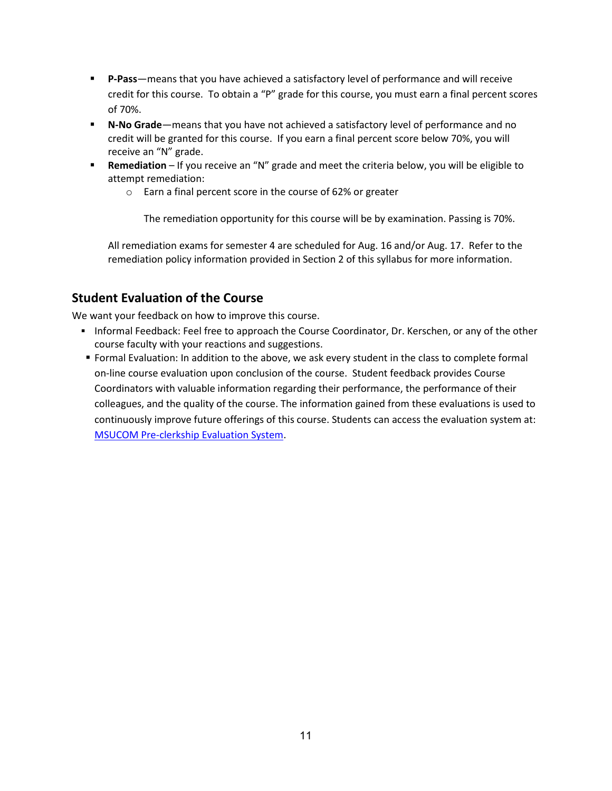- **P-Pass**—means that you have achieved a satisfactory level of performance and will receive credit for this course. To obtain a "P" grade for this course, you must earn a final percent scores of 70%.
- **N-No Grade**—means that you have not achieved a satisfactory level of performance and no credit will be granted for this course. If you earn a final percent score below 70%, you will receive an "N" grade.
- **Remediation** If you receive an "N" grade and meet the criteria below, you will be eligible to attempt remediation:
	- o Earn a final percent score in the course of 62% or greater

The remediation opportunity for this course will be by examination. Passing is 70%.

All remediation exams for semester 4 are scheduled for Aug. 16 and/or Aug. 17. Refer to the remediation policy information provided in Section 2 of this syllabus for more information.

# <span id="page-10-0"></span>**Student Evaluation of the Course**

We want your feedback on how to improve this course.

- Informal Feedback: Feel free to approach the Course Coordinator, Dr. Kerschen, or any of the other course faculty with your reactions and suggestions.
- Formal Evaluation: In addition to the above, we ask every student in the class to complete formal on-line course evaluation upon conclusion of the course. Student feedback provides Course Coordinators with valuable information regarding their performance, the performance of their colleagues, and the quality of the course. The information gained from these evaluations is used to continuously improve future offerings of this course. Students can access the evaluation system at: [MSUCOM Pre-clerkship Evaluation System.](https://evalue.msu.edu/)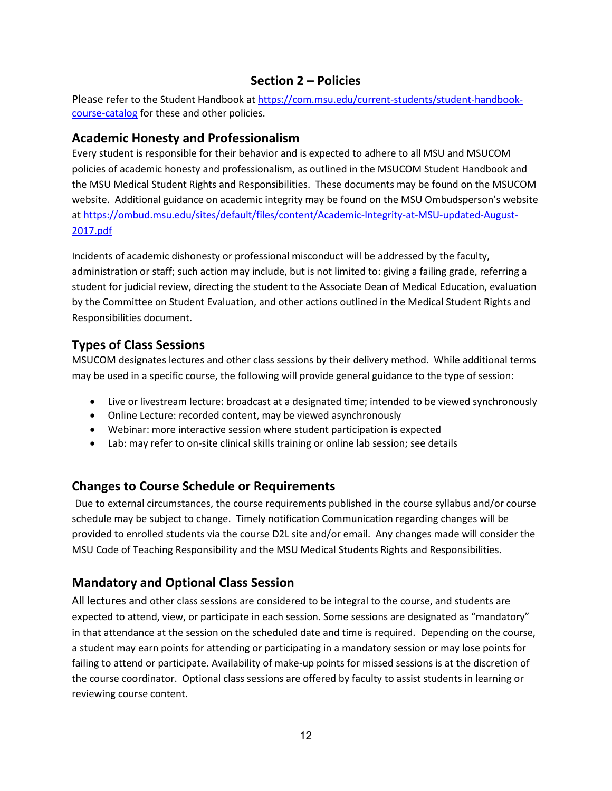# **Section 2 – Policies**

Please refer to the Student Handbook at [https://com.msu.edu/current-students/student-handbook](https://com.msu.edu/current-students/student-handbook-course-catalog)[course-catalog](https://com.msu.edu/current-students/student-handbook-course-catalog) for these and other policies.

### <span id="page-11-0"></span>**Academic Honesty and Professionalism**

Every student is responsible for their behavior and is expected to adhere to all MSU and MSUCOM policies of academic honesty and professionalism, as outlined in the MSUCOM Student Handbook and the MSU Medical Student Rights and Responsibilities. These documents may be found on the MSUCOM website. Additional guidance on academic integrity may be found on the MSU Ombudsperson's website at [https://ombud.msu.edu/sites/default/files/content/Academic-Integrity-at-MSU-updated-August-](https://ombud.msu.edu/sites/default/files/content/Academic-Integrity-at-MSU-updated-August-2017.pdf)[2017.pdf](https://ombud.msu.edu/sites/default/files/content/Academic-Integrity-at-MSU-updated-August-2017.pdf)

Incidents of academic dishonesty or professional misconduct will be addressed by the faculty, administration or staff; such action may include, but is not limited to: giving a failing grade, referring a student for judicial review, directing the student to the Associate Dean of Medical Education, evaluation by the Committee on Student Evaluation, and other actions outlined in the Medical Student Rights and Responsibilities document.

# <span id="page-11-1"></span>**Types of Class Sessions**

MSUCOM designates lectures and other class sessions by their delivery method. While additional terms may be used in a specific course, the following will provide general guidance to the type of session:

- Live or livestream lecture: broadcast at a designated time; intended to be viewed synchronously
- Online Lecture: recorded content, may be viewed asynchronously
- Webinar: more interactive session where student participation is expected
- Lab: may refer to on-site clinical skills training or online lab session; see details

# **Changes to Course Schedule or Requirements**

Due to external circumstances, the course requirements published in the course syllabus and/or course schedule may be subject to change. Timely notification Communication regarding changes will be provided to enrolled students via the course D2L site and/or email. Any changes made will consider the MSU Code of Teaching Responsibility and the MSU Medical Students Rights and Responsibilities.

# **Mandatory and Optional Class Session**

All lectures and other class sessions are considered to be integral to the course, and students are expected to attend, view, or participate in each session. Some sessions are designated as "mandatory" in that attendance at the session on the scheduled date and time is required. Depending on the course, a student may earn points for attending or participating in a mandatory session or may lose points for failing to attend or participate. Availability of make-up points for missed sessions is at the discretion of the course coordinator. Optional class sessions are offered by faculty to assist students in learning or reviewing course content.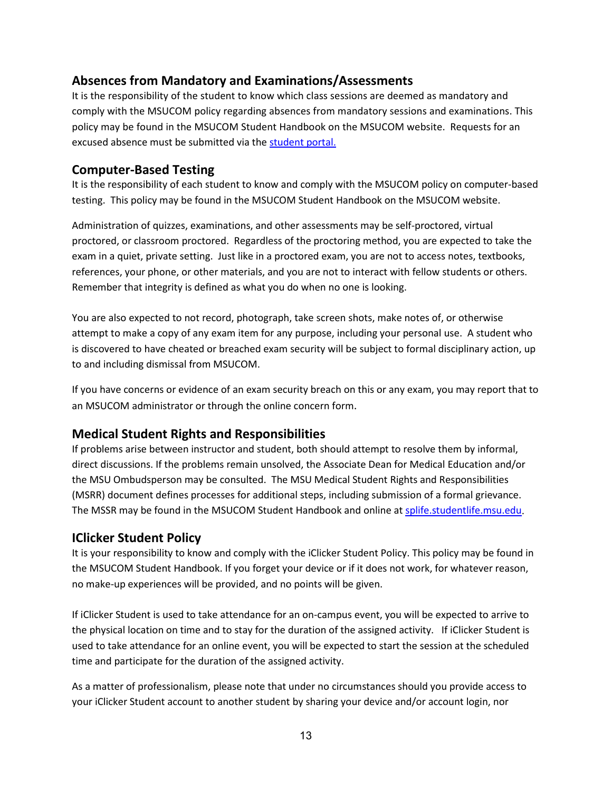# <span id="page-12-0"></span>**Absences from Mandatory and Examinations/Assessments**

It is the responsibility of the student to know which class sessions are deemed as mandatory and comply with the MSUCOM policy regarding absences from mandatory sessions and examinations. This policy may be found in the MSUCOM Student Handbook on the MSUCOM website. Requests for an excused absence must be submitted via th[e student portal.](https://studentportal.com.msu.edu/)

# <span id="page-12-1"></span>**Computer-Based Testing**

It is the responsibility of each student to know and comply with the MSUCOM policy on computer-based testing. This policy may be found in the MSUCOM Student Handbook on the MSUCOM website.

Administration of quizzes, examinations, and other assessments may be self-proctored, virtual proctored, or classroom proctored. Regardless of the proctoring method, you are expected to take the exam in a quiet, private setting. Just like in a proctored exam, you are not to access notes, textbooks, references, your phone, or other materials, and you are not to interact with fellow students or others. Remember that integrity is defined as what you do when no one is looking.

You are also expected to not record, photograph, take screen shots, make notes of, or otherwise attempt to make a copy of any exam item for any purpose, including your personal use. A student who is discovered to have cheated or breached exam security will be subject to formal disciplinary action, up to and including dismissal from MSUCOM.

If you have concerns or evidence of an exam security breach on this or any exam, you may report that to an MSUCOM administrator or through the online concern form.

# <span id="page-12-2"></span>**Medical Student Rights and Responsibilities**

If problems arise between instructor and student, both should attempt to resolve them by informal, direct discussions. If the problems remain unsolved, the Associate Dean for Medical Education and/or the MSU Ombudsperson may be consulted. The MSU Medical Student Rights and Responsibilities (MSRR) document defines processes for additional steps, including submission of a formal grievance. The MSSR may be found in the MSUCOM Student Handbook and online a[t splife.studentlife.msu.edu.](http://splife.studentlife.msu.edu/medical-student-rights-and-responsibilites-mssr)

# <span id="page-12-3"></span>**IClicker Student Policy**

It is your responsibility to know and comply with the iClicker Student Policy. This policy may be found in the MSUCOM Student Handbook. If you forget your device or if it does not work, for whatever reason, no make-up experiences will be provided, and no points will be given.

If iClicker Student is used to take attendance for an on-campus event, you will be expected to arrive to the physical location on time and to stay for the duration of the assigned activity. If iClicker Student is used to take attendance for an online event, you will be expected to start the session at the scheduled time and participate for the duration of the assigned activity.

As a matter of professionalism, please note that under no circumstances should you provide access to your iClicker Student account to another student by sharing your device and/or account login, nor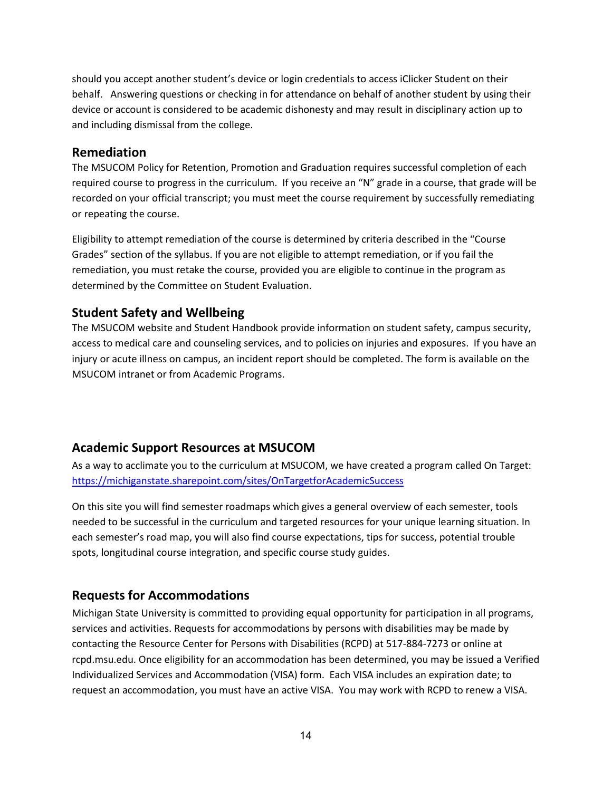should you accept another student's device or login credentials to access iClicker Student on their behalf. Answering questions or checking in for attendance on behalf of another student by using their device or account is considered to be academic dishonesty and may result in disciplinary action up to and including dismissal from the college.

### <span id="page-13-0"></span>**Remediation**

The MSUCOM Policy for Retention, Promotion and Graduation requires successful completion of each required course to progress in the curriculum. If you receive an "N" grade in a course, that grade will be recorded on your official transcript; you must meet the course requirement by successfully remediating or repeating the course.

Eligibility to attempt remediation of the course is determined by criteria described in the "Course Grades" section of the syllabus. If you are not eligible to attempt remediation, or if you fail the remediation, you must retake the course, provided you are eligible to continue in the program as determined by the Committee on Student Evaluation.

### <span id="page-13-1"></span>**Student Safety and Wellbeing**

The MSUCOM website and Student Handbook provide information on student safety, campus security, access to medical care and counseling services, and to policies on injuries and exposures. If you have an injury or acute illness on campus, an incident report should be completed. The form is available on the MSUCOM intranet or from Academic Programs.

# <span id="page-13-2"></span>**Academic Support Resources at MSUCOM**

As a way to acclimate you to the curriculum at MSUCOM, we have created a program called On Target: <https://michiganstate.sharepoint.com/sites/OnTargetforAcademicSuccess>

On this site you will find semester roadmaps which gives a general overview of each semester, tools needed to be successful in the curriculum and targeted resources for your unique learning situation. In each semester's road map, you will also find course expectations, tips for success, potential trouble spots, longitudinal course integration, and specific course study guides.

# <span id="page-13-3"></span>**Requests for Accommodations**

Michigan State University is committed to providing equal opportunity for participation in all programs, services and activities. Requests for accommodations by persons with disabilities may be made by contacting the Resource Center for Persons with Disabilities (RCPD) at 517-884-7273 or online at rcpd.msu.edu. Once eligibility for an accommodation has been determined, you may be issued a Verified Individualized Services and Accommodation (VISA) form. Each VISA includes an expiration date; to request an accommodation, you must have an active VISA. You may work with RCPD to renew a VISA.